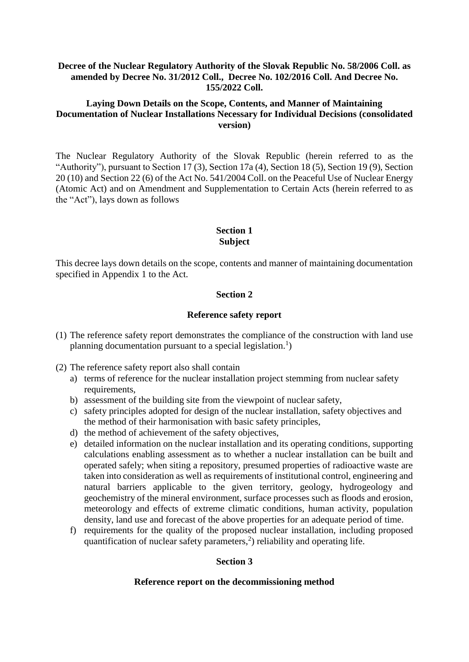### **Decree of the Nuclear Regulatory Authority of the Slovak Republic No. 58/2006 Coll. as amended by Decree No. 31/2012 Coll., Decree No. 102/2016 Coll. And Decree No. 155/2022 Coll.**

### **Laying Down Details on the Scope, Contents, and Manner of Maintaining Documentation of Nuclear Installations Necessary for Individual Decisions (consolidated version)**

The Nuclear Regulatory Authority of the Slovak Republic (herein referred to as the "Authority"), pursuant to Section 17 (3), Section 17a (4), Section 18 (5), Section 19 (9), Section 20 (10) and Section 22 (6) of the Act No. 541/2004 Coll. on the Peaceful Use of Nuclear Energy (Atomic Act) and on Amendment and Supplementation to Certain Acts (herein referred to as the "Act"), lays down as follows

# **Section 1 Subject**

This decree lays down details on the scope, contents and manner of maintaining documentation specified in Appendix 1 to the Act.

### **Section 2**

# **Reference safety report**

- (1) The reference safety report demonstrates the compliance of the construction with land use planning documentation pursuant to a special legislation.<sup>1</sup>)
- (2) The reference safety report also shall contain
	- a) terms of reference for the nuclear installation project stemming from nuclear safety requirements,
	- b) assessment of the building site from the viewpoint of nuclear safety,
	- c) safety principles adopted for design of the nuclear installation, safety objectives and the method of their harmonisation with basic safety principles,
	- d) the method of achievement of the safety objectives,
	- e) detailed information on the nuclear installation and its operating conditions, supporting calculations enabling assessment as to whether a nuclear installation can be built and operated safely; when siting a repository, presumed properties of radioactive waste are taken into consideration as well as requirements of institutional control, engineering and natural barriers applicable to the given territory, geology, hydrogeology and geochemistry of the mineral environment, surface processes such as floods and erosion, meteorology and effects of extreme climatic conditions, human activity, population density, land use and forecast of the above properties for an adequate period of time.
	- f) requirements for the quality of the proposed nuclear installation, including proposed quantification of nuclear safety parameters, 2 ) reliability and operating life.

### **Section 3**

### **Reference report on the decommissioning method**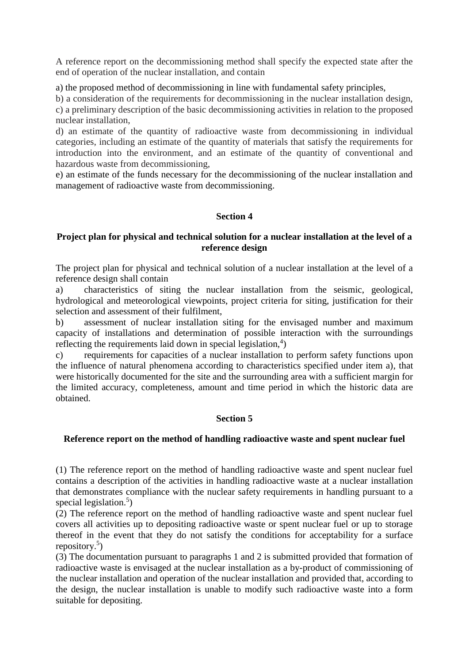A reference report on the decommissioning method shall specify the expected state after the end of operation of the nuclear installation, and contain

a) the proposed method of decommissioning in line with fundamental safety principles,

b) a consideration of the requirements for decommissioning in the nuclear installation design, c) a preliminary description of the basic decommissioning activities in relation to the proposed nuclear installation,

d) an estimate of the quantity of radioactive waste from decommissioning in individual categories, including an estimate of the quantity of materials that satisfy the requirements for introduction into the environment, and an estimate of the quantity of conventional and hazardous waste from decommissioning,

e) an estimate of the funds necessary for the decommissioning of the nuclear installation and management of radioactive waste from decommissioning.

### **Section 4**

### **Project plan for physical and technical solution for a nuclear installation at the level of a reference design**

The project plan for physical and technical solution of a nuclear installation at the level of a reference design shall contain

a) characteristics of siting the nuclear installation from the seismic, geological, hydrological and meteorological viewpoints, project criteria for siting, justification for their selection and assessment of their fulfilment,

b) assessment of nuclear installation siting for the envisaged number and maximum capacity of installations and determination of possible interaction with the surroundings reflecting the requirements laid down in special legislation, $4$ )

c) requirements for capacities of a nuclear installation to perform safety functions upon the influence of natural phenomena according to characteristics specified under item a), that were historically documented for the site and the surrounding area with a sufficient margin for the limited accuracy, completeness, amount and time period in which the historic data are obtained.

# **Section 5**

# **Reference report on the method of handling radioactive waste and spent nuclear fuel**

(1) The reference report on the method of handling radioactive waste and spent nuclear fuel contains a description of the activities in handling radioactive waste at a nuclear installation that demonstrates compliance with the nuclear safety requirements in handling pursuant to a special legislation.<sup>5</sup>)

(2) The reference report on the method of handling radioactive waste and spent nuclear fuel covers all activities up to depositing radioactive waste or spent nuclear fuel or up to storage thereof in the event that they do not satisfy the conditions for acceptability for a surface repository. 5 )

(3) The documentation pursuant to paragraphs 1 and 2 is submitted provided that formation of radioactive waste is envisaged at the nuclear installation as a by-product of commissioning of the nuclear installation and operation of the nuclear installation and provided that, according to the design, the nuclear installation is unable to modify such radioactive waste into a form suitable for depositing.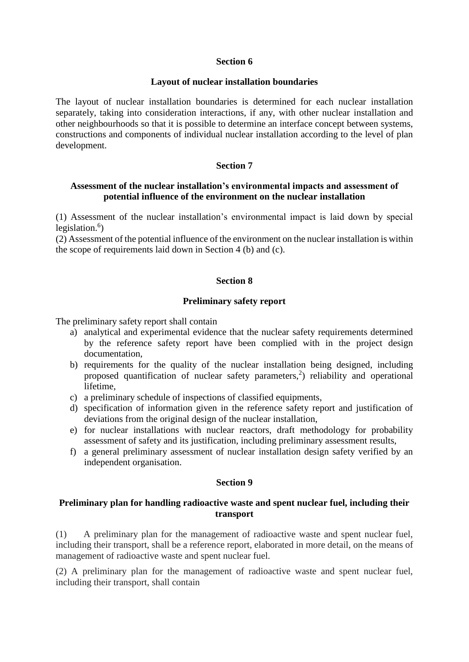### **Section 6**

### **Layout of nuclear installation boundaries**

The layout of nuclear installation boundaries is determined for each nuclear installation separately, taking into consideration interactions, if any, with other nuclear installation and other neighbourhoods so that it is possible to determine an interface concept between systems, constructions and components of individual nuclear installation according to the level of plan development.

# **Section 7**

### **Assessment of the nuclear installation's environmental impacts and assessment of potential influence of the environment on the nuclear installation**

(1) Assessment of the nuclear installation's environmental impact is laid down by special legislation.<sup>6</sup>)

(2) Assessment of the potential influence of the environment on the nuclear installation is within the scope of requirements laid down in Section 4 (b) and (c).

# **Section 8**

### **Preliminary safety report**

The preliminary safety report shall contain

- a) analytical and experimental evidence that the nuclear safety requirements determined by the reference safety report have been complied with in the project design documentation,
- b) requirements for the quality of the nuclear installation being designed, including proposed quantification of nuclear safety parameters, 2 ) reliability and operational lifetime,
- c) a preliminary schedule of inspections of classified equipments,
- d) specification of information given in the reference safety report and justification of deviations from the original design of the nuclear installation,
- e) for nuclear installations with nuclear reactors, draft methodology for probability assessment of safety and its justification, including preliminary assessment results,
- f) a general preliminary assessment of nuclear installation design safety verified by an independent organisation.

### **Section 9**

### **Preliminary plan for handling radioactive waste and spent nuclear fuel, including their transport**

(1) A preliminary plan for the management of radioactive waste and spent nuclear fuel, including their transport, shall be a reference report, elaborated in more detail, on the means of management of radioactive waste and spent nuclear fuel.

(2) A preliminary plan for the management of radioactive waste and spent nuclear fuel, including their transport, shall contain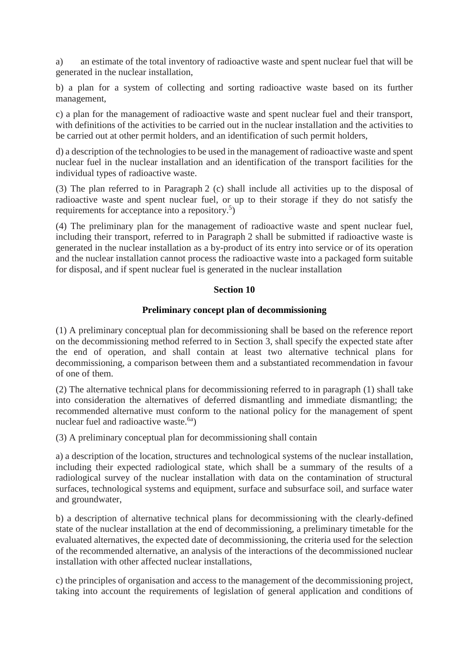a) an estimate of the total inventory of radioactive waste and spent nuclear fuel that will be generated in the nuclear installation,

b) a plan for a system of collecting and sorting radioactive waste based on its further management,

c) a plan for the management of radioactive waste and spent nuclear fuel and their transport, with definitions of the activities to be carried out in the nuclear installation and the activities to be carried out at other permit holders, and an identification of such permit holders,

d) a description of the technologies to be used in the management of radioactive waste and spent nuclear fuel in the nuclear installation and an identification of the transport facilities for the individual types of radioactive waste.

(3) The plan referred to in Paragraph 2 (c) shall include all activities up to the disposal of radioactive waste and spent nuclear fuel, or up to their storage if they do not satisfy the requirements for acceptance into a repository.<sup>5</sup>)

(4) The preliminary plan for the management of radioactive waste and spent nuclear fuel, including their transport, referred to in Paragraph 2 shall be submitted if radioactive waste is generated in the nuclear installation as a by-product of its entry into service or of its operation and the nuclear installation cannot process the radioactive waste into a packaged form suitable for disposal, and if spent nuclear fuel is generated in the nuclear installation

### **Section 10**

### **Preliminary concept plan of decommissioning**

(1) A preliminary conceptual plan for decommissioning shall be based on the reference report on the decommissioning method referred to in Section 3, shall specify the expected state after the end of operation, and shall contain at least two alternative technical plans for decommissioning, a comparison between them and a substantiated recommendation in favour of one of them.

(2) The alternative technical plans for decommissioning referred to in paragraph (1) shall take into consideration the alternatives of deferred dismantling and immediate dismantling; the recommended alternative must conform to the national policy for the management of spent nuclear fuel and radioactive waste. $6a$ )

(3) A preliminary conceptual plan for decommissioning shall contain

a) a description of the location, structures and technological systems of the nuclear installation, including their expected radiological state, which shall be a summary of the results of a radiological survey of the nuclear installation with data on the contamination of structural surfaces, technological systems and equipment, surface and subsurface soil, and surface water and groundwater,

b) a description of alternative technical plans for decommissioning with the clearly-defined state of the nuclear installation at the end of decommissioning, a preliminary timetable for the evaluated alternatives, the expected date of decommissioning, the criteria used for the selection of the recommended alternative, an analysis of the interactions of the decommissioned nuclear installation with other affected nuclear installations,

c) the principles of organisation and access to the management of the decommissioning project, taking into account the requirements of legislation of general application and conditions of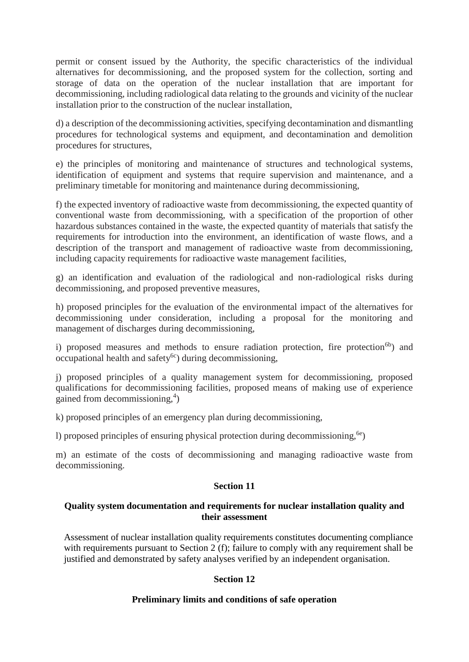permit or consent issued by the Authority, the specific characteristics of the individual alternatives for decommissioning, and the proposed system for the collection, sorting and storage of data on the operation of the nuclear installation that are important for decommissioning, including radiological data relating to the grounds and vicinity of the nuclear installation prior to the construction of the nuclear installation,

d) a description of the decommissioning activities, specifying decontamination and dismantling procedures for technological systems and equipment, and decontamination and demolition procedures for structures,

e) the principles of monitoring and maintenance of structures and technological systems, identification of equipment and systems that require supervision and maintenance, and a preliminary timetable for monitoring and maintenance during decommissioning,

f) the expected inventory of radioactive waste from decommissioning, the expected quantity of conventional waste from decommissioning, with a specification of the proportion of other hazardous substances contained in the waste, the expected quantity of materials that satisfy the requirements for introduction into the environment, an identification of waste flows, and a description of the transport and management of radioactive waste from decommissioning, including capacity requirements for radioactive waste management facilities,

g) an identification and evaluation of the radiological and non-radiological risks during decommissioning, and proposed preventive measures,

h) proposed principles for the evaluation of the environmental impact of the alternatives for decommissioning under consideration, including a proposal for the monitoring and management of discharges during decommissioning,

i) proposed measures and methods to ensure radiation protection, fire protection<sup>6b</sup>) and occupational health and safety<sup>6c</sup>) during decommissioning,

j) proposed principles of a quality management system for decommissioning, proposed qualifications for decommissioning facilities, proposed means of making use of experience gained from decommissioning, $4$ )

k) proposed principles of an emergency plan during decommissioning,

l) proposed principles of ensuring physical protection during decommissioning,  $^{6e}$ )

m) an estimate of the costs of decommissioning and managing radioactive waste from decommissioning.

# **Section 11**

### **Quality system documentation and requirements for nuclear installation quality and their assessment**

Assessment of nuclear installation quality requirements constitutes documenting compliance with requirements pursuant to Section 2 (f); failure to comply with any requirement shall be justified and demonstrated by safety analyses verified by an independent organisation.

# **Section 12**

### **Preliminary limits and conditions of safe operation**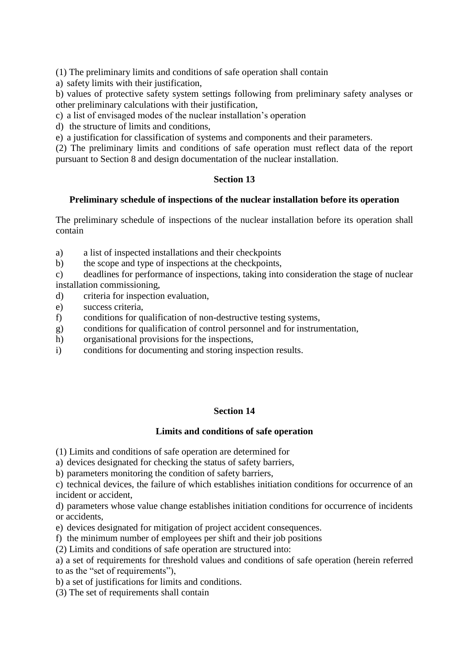(1) The preliminary limits and conditions of safe operation shall contain

a) safety limits with their justification,

b) values of protective safety system settings following from preliminary safety analyses or other preliminary calculations with their justification,

c) a list of envisaged modes of the nuclear installation's operation

d) the structure of limits and conditions,

e) a justification for classification of systems and components and their parameters.

(2) The preliminary limits and conditions of safe operation must reflect data of the report pursuant to Section 8 and design documentation of the nuclear installation.

# **Section 13**

# **Preliminary schedule of inspections of the nuclear installation before its operation**

The preliminary schedule of inspections of the nuclear installation before its operation shall contain

- a) a list of inspected installations and their checkpoints
- b) the scope and type of inspections at the checkpoints,
- c) deadlines for performance of inspections, taking into consideration the stage of nuclear installation commissioning,
- d) criteria for inspection evaluation,
- e) success criteria,
- f) conditions for qualification of non-destructive testing systems,
- g) conditions for qualification of control personnel and for instrumentation,
- h) organisational provisions for the inspections,
- i) conditions for documenting and storing inspection results.

# **Section 14**

# **Limits and conditions of safe operation**

(1) Limits and conditions of safe operation are determined for

- a) devices designated for checking the status of safety barriers,
- b) parameters monitoring the condition of safety barriers,

c) technical devices, the failure of which establishes initiation conditions for occurrence of an incident or accident,

d) parameters whose value change establishes initiation conditions for occurrence of incidents or accidents,

- e) devices designated for mitigation of project accident consequences.
- f) the minimum number of employees per shift and their job positions

(2) Limits and conditions of safe operation are structured into:

a) a set of requirements for threshold values and conditions of safe operation (herein referred to as the "set of requirements"),

b) a set of justifications for limits and conditions.

(3) The set of requirements shall contain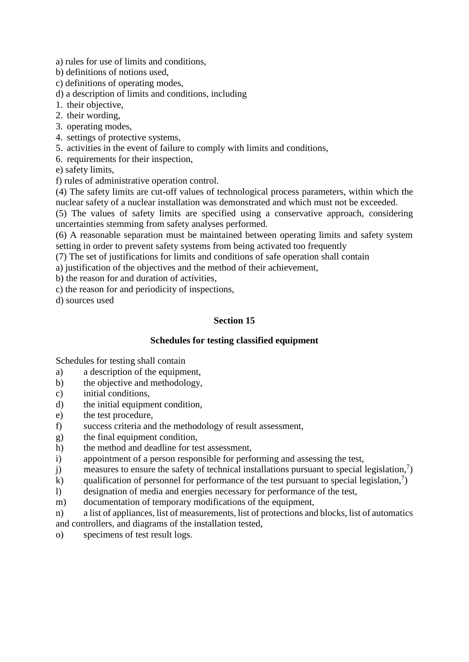a) rules for use of limits and conditions,

b) definitions of notions used,

c) definitions of operating modes,

d) a description of limits and conditions, including

1. their objective,

2. their wording,

3. operating modes,

- 4. settings of protective systems,
- 5. activities in the event of failure to comply with limits and conditions,
- 6. requirements for their inspection,

e) safety limits,

f) rules of administrative operation control.

(4) The safety limits are cut-off values of technological process parameters, within which the nuclear safety of a nuclear installation was demonstrated and which must not be exceeded.

(5) The values of safety limits are specified using a conservative approach, considering uncertainties stemming from safety analyses performed.

(6) A reasonable separation must be maintained between operating limits and safety system setting in order to prevent safety systems from being activated too frequently

(7) The set of justifications for limits and conditions of safe operation shall contain

a) justification of the objectives and the method of their achievement,

b) the reason for and duration of activities,

c) the reason for and periodicity of inspections,

d) sources used

### **Section 15**

## **Schedules for testing classified equipment**

Schedules for testing shall contain

- a) a description of the equipment,
- b) the objective and methodology,
- c) initial conditions,
- d) the initial equipment condition,
- e) the test procedure,
- f) success criteria and the methodology of result assessment,
- g) the final equipment condition,
- h) the method and deadline for test assessment,
- i) appointment of a person responsible for performing and assessing the test,
- j) measures to ensure the safety of technical installations pursuant to special legislation,<sup>7</sup>)
- k) qualification of personnel for performance of the test pursuant to special legislation,<sup>7</sup>)
- l) designation of media and energies necessary for performance of the test,
- m) documentation of temporary modifications of the equipment,

n) a list of appliances, list of measurements, list of protections and blocks, list of automatics and controllers, and diagrams of the installation tested,

o) specimens of test result logs.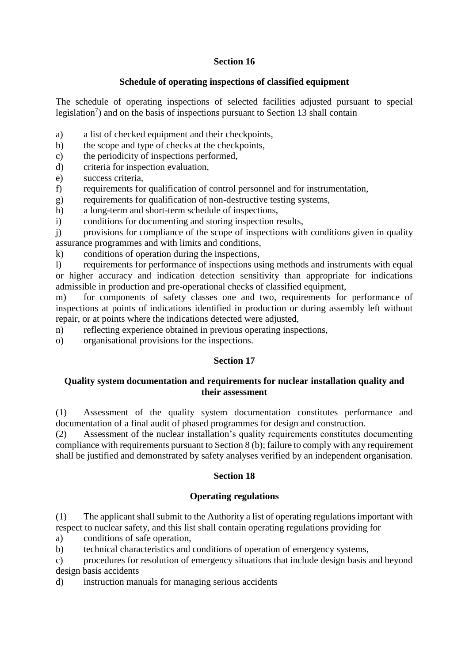# **Section 16**

# **Schedule of operating inspections of classified equipment**

The schedule of operating inspections of selected facilities adjusted pursuant to special legislation<sup>7</sup>) and on the basis of inspections pursuant to Section 13 shall contain

- a) a list of checked equipment and their checkpoints,
- b) the scope and type of checks at the checkpoints,
- c) the periodicity of inspections performed,
- d) criteria for inspection evaluation,
- e) success criteria,
- f) requirements for qualification of control personnel and for instrumentation,
- g) requirements for qualification of non-destructive testing systems,
- h) a long-term and short-term schedule of inspections,
- i) conditions for documenting and storing inspection results,

j) provisions for compliance of the scope of inspections with conditions given in quality assurance programmes and with limits and conditions,

k) conditions of operation during the inspections,

l) requirements for performance of inspections using methods and instruments with equal or higher accuracy and indication detection sensitivity than appropriate for indications admissible in production and pre-operational checks of classified equipment,

m) for components of safety classes one and two, requirements for performance of inspections at points of indications identified in production or during assembly left without repair, or at points where the indications detected were adjusted,

- n) reflecting experience obtained in previous operating inspections,
- o) organisational provisions for the inspections.

# **Section 17**

### **Quality system documentation and requirements for nuclear installation quality and their assessment**

(1) Assessment of the quality system documentation constitutes performance and documentation of a final audit of phased programmes for design and construction.

(2) Assessment of the nuclear installation's quality requirements constitutes documenting compliance with requirements pursuant to Section 8 (b); failure to comply with any requirement shall be justified and demonstrated by safety analyses verified by an independent organisation.

# **Section 18**

# **Operating regulations**

(1) The applicant shall submit to the Authority a list of operating regulations important with respect to nuclear safety, and this list shall contain operating regulations providing for

a) conditions of safe operation,

b) technical characteristics and conditions of operation of emergency systems,

c) procedures for resolution of emergency situations that include design basis and beyond design basis accidents

d) instruction manuals for managing serious accidents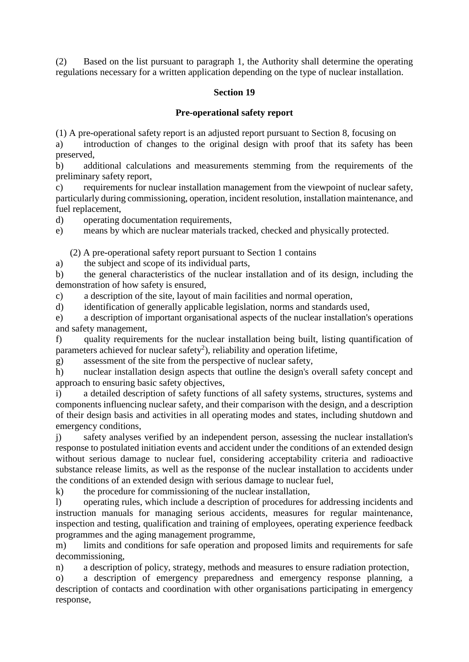(2) Based on the list pursuant to paragraph 1, the Authority shall determine the operating regulations necessary for a written application depending on the type of nuclear installation.

## **Section 19**

# **Pre-operational safety report**

(1) A pre-operational safety report is an adjusted report pursuant to Section 8, focusing on

a) introduction of changes to the original design with proof that its safety has been preserved,

b) additional calculations and measurements stemming from the requirements of the preliminary safety report,

c) requirements for nuclear installation management from the viewpoint of nuclear safety, particularly during commissioning, operation, incident resolution, installation maintenance, and fuel replacement,

d) operating documentation requirements,

e) means by which are nuclear materials tracked, checked and physically protected.

(2) A pre-operational safety report pursuant to Section 1 contains

a) the subject and scope of its individual parts,

b) the general characteristics of the nuclear installation and of its design, including the demonstration of how safety is ensured,

c) a description of the site, layout of main facilities and normal operation,

d) identification of generally applicable legislation, norms and standards used,

e) a description of important organisational aspects of the nuclear installation's operations and safety management,

f) quality requirements for the nuclear installation being built, listing quantification of parameters achieved for nuclear safety<sup>2</sup>), reliability and operation lifetime,

g) assessment of the site from the perspective of nuclear safety,

h) nuclear installation design aspects that outline the design's overall safety concept and approach to ensuring basic safety objectives,

i) a detailed description of safety functions of all safety systems, structures, systems and components influencing nuclear safety, and their comparison with the design, and a description of their design basis and activities in all operating modes and states, including shutdown and emergency conditions,

j) safety analyses verified by an independent person, assessing the nuclear installation's response to postulated initiation events and accident under the conditions of an extended design without serious damage to nuclear fuel, considering acceptability criteria and radioactive substance release limits, as well as the response of the nuclear installation to accidents under the conditions of an extended design with serious damage to nuclear fuel,

k) the procedure for commissioning of the nuclear installation,

l) operating rules, which include a description of procedures for addressing incidents and instruction manuals for managing serious accidents, measures for regular maintenance, inspection and testing, qualification and training of employees, operating experience feedback programmes and the aging management programme,

m) limits and conditions for safe operation and proposed limits and requirements for safe decommissioning,

n) a description of policy, strategy, methods and measures to ensure radiation protection,

o) a description of emergency preparedness and emergency response planning, a description of contacts and coordination with other organisations participating in emergency response,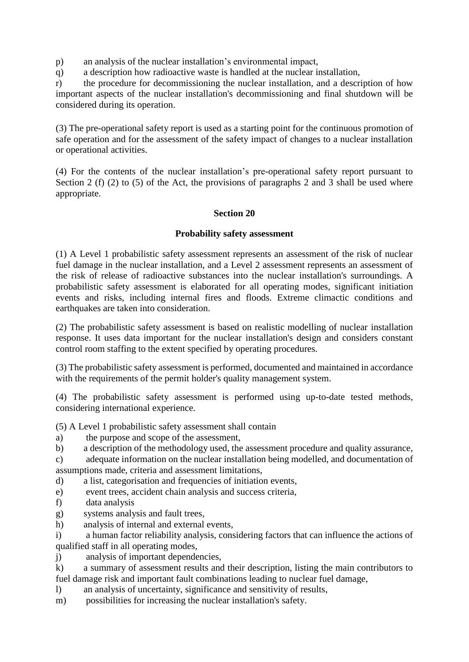p) an analysis of the nuclear installation's environmental impact,

q) a description how radioactive waste is handled at the nuclear installation,

r) the procedure for decommissioning the nuclear installation, and a description of how important aspects of the nuclear installation's decommissioning and final shutdown will be considered during its operation.

(3) The pre-operational safety report is used as a starting point for the continuous promotion of safe operation and for the assessment of the safety impact of changes to a nuclear installation or operational activities.

(4) For the contents of the nuclear installation's pre-operational safety report pursuant to Section 2 (f) (2) to (5) of the Act, the provisions of paragraphs 2 and 3 shall be used where appropriate.

# **Section 20**

# **Probability safety assessment**

(1) A Level 1 probabilistic safety assessment represents an assessment of the risk of nuclear fuel damage in the nuclear installation, and a Level 2 assessment represents an assessment of the risk of release of radioactive substances into the nuclear installation's surroundings. A probabilistic safety assessment is elaborated for all operating modes, significant initiation events and risks, including internal fires and floods. Extreme climactic conditions and earthquakes are taken into consideration.

(2) The probabilistic safety assessment is based on realistic modelling of nuclear installation response. It uses data important for the nuclear installation's design and considers constant control room staffing to the extent specified by operating procedures.

(3) The probabilistic safety assessment is performed, documented and maintained in accordance with the requirements of the permit holder's quality management system.

(4) The probabilistic safety assessment is performed using up-to-date tested methods, considering international experience.

(5) A Level 1 probabilistic safety assessment shall contain

- a) the purpose and scope of the assessment,
- b) a description of the methodology used, the assessment procedure and quality assurance,

c) adequate information on the nuclear installation being modelled, and documentation of assumptions made, criteria and assessment limitations,

d) a list, categorisation and frequencies of initiation events,

e) event trees, accident chain analysis and success criteria,

- f) data analysis
- g) systems analysis and fault trees,
- h) analysis of internal and external events,

i) a human factor reliability analysis, considering factors that can influence the actions of qualified staff in all operating modes,

- j) analysis of important dependencies,
- k) a summary of assessment results and their description, listing the main contributors to fuel damage risk and important fault combinations leading to nuclear fuel damage,
- l) an analysis of uncertainty, significance and sensitivity of results,
- m) possibilities for increasing the nuclear installation's safety.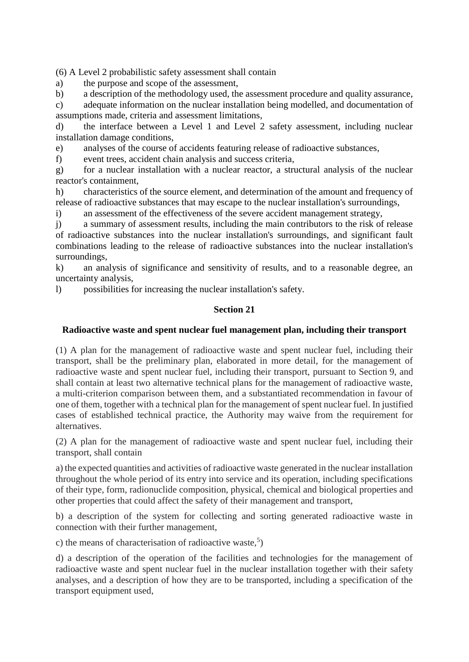(6) A Level 2 probabilistic safety assessment shall contain

a) the purpose and scope of the assessment,

b) a description of the methodology used, the assessment procedure and quality assurance,

c) adequate information on the nuclear installation being modelled, and documentation of assumptions made, criteria and assessment limitations,

d) the interface between a Level 1 and Level 2 safety assessment, including nuclear installation damage conditions,

e) analyses of the course of accidents featuring release of radioactive substances,

f) event trees, accident chain analysis and success criteria,

g) for a nuclear installation with a nuclear reactor, a structural analysis of the nuclear reactor's containment,

h) characteristics of the source element, and determination of the amount and frequency of release of radioactive substances that may escape to the nuclear installation's surroundings,

i) an assessment of the effectiveness of the severe accident management strategy,

j) a summary of assessment results, including the main contributors to the risk of release of radioactive substances into the nuclear installation's surroundings, and significant fault combinations leading to the release of radioactive substances into the nuclear installation's surroundings,

k) an analysis of significance and sensitivity of results, and to a reasonable degree, an uncertainty analysis,

l) possibilities for increasing the nuclear installation's safety.

### **Section 21**

## **Radioactive waste and spent nuclear fuel management plan, including their transport**

(1) A plan for the management of radioactive waste and spent nuclear fuel, including their transport, shall be the preliminary plan, elaborated in more detail, for the management of radioactive waste and spent nuclear fuel, including their transport, pursuant to Section 9, and shall contain at least two alternative technical plans for the management of radioactive waste, a multi-criterion comparison between them, and a substantiated recommendation in favour of one of them, together with a technical plan for the management of spent nuclear fuel. In justified cases of established technical practice, the Authority may waive from the requirement for alternatives.

(2) A plan for the management of radioactive waste and spent nuclear fuel, including their transport, shall contain

a) the expected quantities and activities of radioactive waste generated in the nuclear installation throughout the whole period of its entry into service and its operation, including specifications of their type, form, radionuclide composition, physical, chemical and biological properties and other properties that could affect the safety of their management and transport,

b) a description of the system for collecting and sorting generated radioactive waste in connection with their further management,

c) the means of characterisation of radioactive waste,  $5$ )

d) a description of the operation of the facilities and technologies for the management of radioactive waste and spent nuclear fuel in the nuclear installation together with their safety analyses, and a description of how they are to be transported, including a specification of the transport equipment used,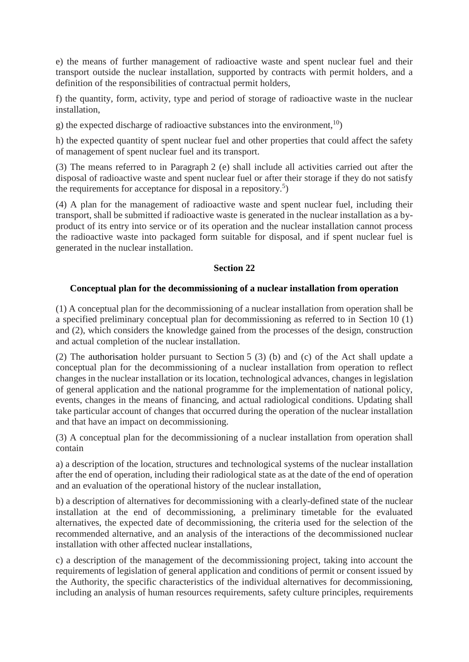e) the means of further management of radioactive waste and spent nuclear fuel and their transport outside the nuclear installation, supported by contracts with permit holders, and a definition of the responsibilities of contractual permit holders,

f) the quantity, form, activity, type and period of storage of radioactive waste in the nuclear installation,

g) the expected discharge of radioactive substances into the environment,  $^{10}$ )

h) the expected quantity of spent nuclear fuel and other properties that could affect the safety of management of spent nuclear fuel and its transport.

(3) The means referred to in Paragraph 2 (e) shall include all activities carried out after the disposal of radioactive waste and spent nuclear fuel or after their storage if they do not satisfy the requirements for acceptance for disposal in a repository.<sup>5</sup>)

(4) A plan for the management of radioactive waste and spent nuclear fuel, including their transport, shall be submitted if radioactive waste is generated in the nuclear installation as a byproduct of its entry into service or of its operation and the nuclear installation cannot process the radioactive waste into packaged form suitable for disposal, and if spent nuclear fuel is generated in the nuclear installation.

# **Section 22**

### **Conceptual plan for the decommissioning of a nuclear installation from operation**

(1) A conceptual plan for the decommissioning of a nuclear installation from operation shall be a specified preliminary conceptual plan for decommissioning as referred to in Section 10 (1) and (2), which considers the knowledge gained from the processes of the design, construction and actual completion of the nuclear installation.

(2) The authorisation holder pursuant to Section 5 (3) (b) and (c) of the Act shall update a conceptual plan for the decommissioning of a nuclear installation from operation to reflect changes in the nuclear installation or its location, technological advances, changes in legislation of general application and the national programme for the implementation of national policy, events, changes in the means of financing, and actual radiological conditions. Updating shall take particular account of changes that occurred during the operation of the nuclear installation and that have an impact on decommissioning.

(3) A conceptual plan for the decommissioning of a nuclear installation from operation shall contain

a) a description of the location, structures and technological systems of the nuclear installation after the end of operation, including their radiological state as at the date of the end of operation and an evaluation of the operational history of the nuclear installation,

b) a description of alternatives for decommissioning with a clearly-defined state of the nuclear installation at the end of decommissioning, a preliminary timetable for the evaluated alternatives, the expected date of decommissioning, the criteria used for the selection of the recommended alternative, and an analysis of the interactions of the decommissioned nuclear installation with other affected nuclear installations,

c) a description of the management of the decommissioning project, taking into account the requirements of legislation of general application and conditions of permit or consent issued by the Authority, the specific characteristics of the individual alternatives for decommissioning, including an analysis of human resources requirements, safety culture principles, requirements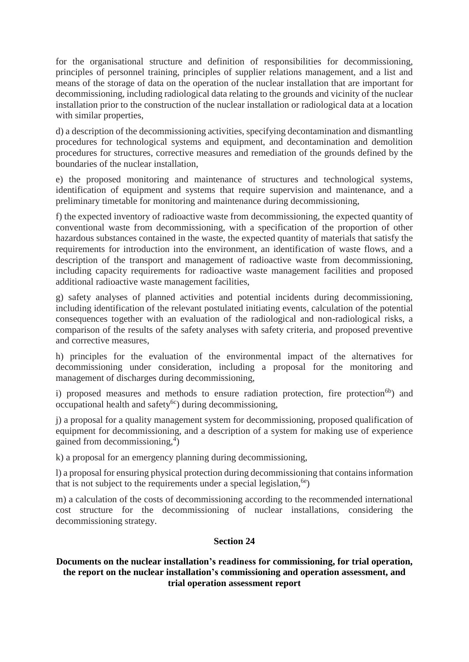for the organisational structure and definition of responsibilities for decommissioning, principles of personnel training, principles of supplier relations management, and a list and means of the storage of data on the operation of the nuclear installation that are important for decommissioning, including radiological data relating to the grounds and vicinity of the nuclear installation prior to the construction of the nuclear installation or radiological data at a location with similar properties,

d) a description of the decommissioning activities, specifying decontamination and dismantling procedures for technological systems and equipment, and decontamination and demolition procedures for structures, corrective measures and remediation of the grounds defined by the boundaries of the nuclear installation,

e) the proposed monitoring and maintenance of structures and technological systems, identification of equipment and systems that require supervision and maintenance, and a preliminary timetable for monitoring and maintenance during decommissioning,

f) the expected inventory of radioactive waste from decommissioning, the expected quantity of conventional waste from decommissioning, with a specification of the proportion of other hazardous substances contained in the waste, the expected quantity of materials that satisfy the requirements for introduction into the environment, an identification of waste flows, and a description of the transport and management of radioactive waste from decommissioning, including capacity requirements for radioactive waste management facilities and proposed additional radioactive waste management facilities,

g) safety analyses of planned activities and potential incidents during decommissioning, including identification of the relevant postulated initiating events, calculation of the potential consequences together with an evaluation of the radiological and non-radiological risks, a comparison of the results of the safety analyses with safety criteria, and proposed preventive and corrective measures,

h) principles for the evaluation of the environmental impact of the alternatives for decommissioning under consideration, including a proposal for the monitoring and management of discharges during decommissioning,

i) proposed measures and methods to ensure radiation protection, fire protection<sup>6b</sup>) and occupational health and safety<sup>6c</sup>) during decommissioning,

j) a proposal for a quality management system for decommissioning, proposed qualification of equipment for decommissioning, and a description of a system for making use of experience gained from decommissioning,<sup>4</sup>)

k) a proposal for an emergency planning during decommissioning,

l) a proposal for ensuring physical protection during decommissioning that contains information that is not subject to the requirements under a special legislation, 6e)

m) a calculation of the costs of decommissioning according to the recommended international cost structure for the decommissioning of nuclear installations, considering the decommissioning strategy.

### **Section 24**

## **Documents on the nuclear installation's readiness for commissioning, for trial operation, the report on the nuclear installation's commissioning and operation assessment, and trial operation assessment report**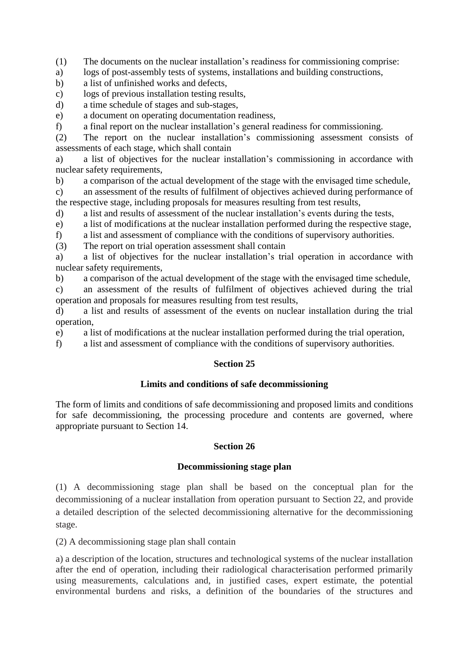(1) The documents on the nuclear installation's readiness for commissioning comprise:

- a) logs of post-assembly tests of systems, installations and building constructions,
- b) a list of unfinished works and defects,
- c) logs of previous installation testing results,
- d) a time schedule of stages and sub-stages,
- e) a document on operating documentation readiness,
- f) a final report on the nuclear installation's general readiness for commissioning.

(2) The report on the nuclear installation's commissioning assessment consists of assessments of each stage, which shall contain

a) a list of objectives for the nuclear installation's commissioning in accordance with nuclear safety requirements,

b) a comparison of the actual development of the stage with the envisaged time schedule,

c) an assessment of the results of fulfilment of objectives achieved during performance of the respective stage, including proposals for measures resulting from test results,

d) a list and results of assessment of the nuclear installation's events during the tests,

e) a list of modifications at the nuclear installation performed during the respective stage,

f) a list and assessment of compliance with the conditions of supervisory authorities.

(3) The report on trial operation assessment shall contain

a) a list of objectives for the nuclear installation's trial operation in accordance with nuclear safety requirements,

b) a comparison of the actual development of the stage with the envisaged time schedule,

c) an assessment of the results of fulfilment of objectives achieved during the trial operation and proposals for measures resulting from test results,

d) a list and results of assessment of the events on nuclear installation during the trial operation,

e) a list of modifications at the nuclear installation performed during the trial operation,

f) a list and assessment of compliance with the conditions of supervisory authorities.

# **Section 25**

# **Limits and conditions of safe decommissioning**

The form of limits and conditions of safe decommissioning and proposed limits and conditions for safe decommissioning, the processing procedure and contents are governed, where appropriate pursuant to Section 14.

# **Section 26**

### **Decommissioning stage plan**

(1) A decommissioning stage plan shall be based on the conceptual plan for the decommissioning of a nuclear installation from operation pursuant to Section 22, and provide a detailed description of the selected decommissioning alternative for the decommissioning stage.

(2) A decommissioning stage plan shall contain

a) a description of the location, structures and technological systems of the nuclear installation after the end of operation, including their radiological characterisation performed primarily using measurements, calculations and, in justified cases, expert estimate, the potential environmental burdens and risks, a definition of the boundaries of the structures and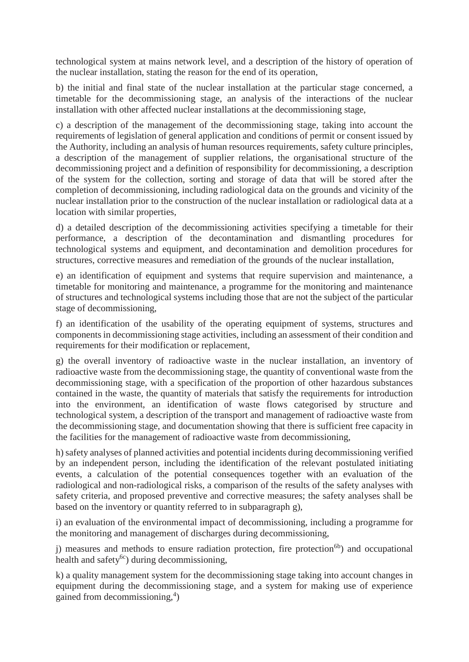technological system at mains network level, and a description of the history of operation of the nuclear installation, stating the reason for the end of its operation,

b) the initial and final state of the nuclear installation at the particular stage concerned, a timetable for the decommissioning stage, an analysis of the interactions of the nuclear installation with other affected nuclear installations at the decommissioning stage,

c) a description of the management of the decommissioning stage, taking into account the requirements of legislation of general application and conditions of permit or consent issued by the Authority, including an analysis of human resources requirements, safety culture principles, a description of the management of supplier relations, the organisational structure of the decommissioning project and a definition of responsibility for decommissioning, a description of the system for the collection, sorting and storage of data that will be stored after the completion of decommissioning, including radiological data on the grounds and vicinity of the nuclear installation prior to the construction of the nuclear installation or radiological data at a location with similar properties,

d) a detailed description of the decommissioning activities specifying a timetable for their performance, a description of the decontamination and dismantling procedures for technological systems and equipment, and decontamination and demolition procedures for structures, corrective measures and remediation of the grounds of the nuclear installation,

e) an identification of equipment and systems that require supervision and maintenance, a timetable for monitoring and maintenance, a programme for the monitoring and maintenance of structures and technological systems including those that are not the subject of the particular stage of decommissioning,

f) an identification of the usability of the operating equipment of systems, structures and components in decommissioning stage activities, including an assessment of their condition and requirements for their modification or replacement,

g) the overall inventory of radioactive waste in the nuclear installation, an inventory of radioactive waste from the decommissioning stage, the quantity of conventional waste from the decommissioning stage, with a specification of the proportion of other hazardous substances contained in the waste, the quantity of materials that satisfy the requirements for introduction into the environment, an identification of waste flows categorised by structure and technological system, a description of the transport and management of radioactive waste from the decommissioning stage, and documentation showing that there is sufficient free capacity in the facilities for the management of radioactive waste from decommissioning,

h) safety analyses of planned activities and potential incidents during decommissioning verified by an independent person, including the identification of the relevant postulated initiating events, a calculation of the potential consequences together with an evaluation of the radiological and non-radiological risks, a comparison of the results of the safety analyses with safety criteria, and proposed preventive and corrective measures; the safety analyses shall be based on the inventory or quantity referred to in subparagraph g),

i) an evaluation of the environmental impact of decommissioning, including a programme for the monitoring and management of discharges during decommissioning,

 $\mu$ ) measures and methods to ensure radiation protection, fire protection<sup>6b</sup>) and occupational health and safety<sup>6c</sup>) during decommissioning,

k) a quality management system for the decommissioning stage taking into account changes in equipment during the decommissioning stage, and a system for making use of experience gained from decommissioning,<sup>4</sup>)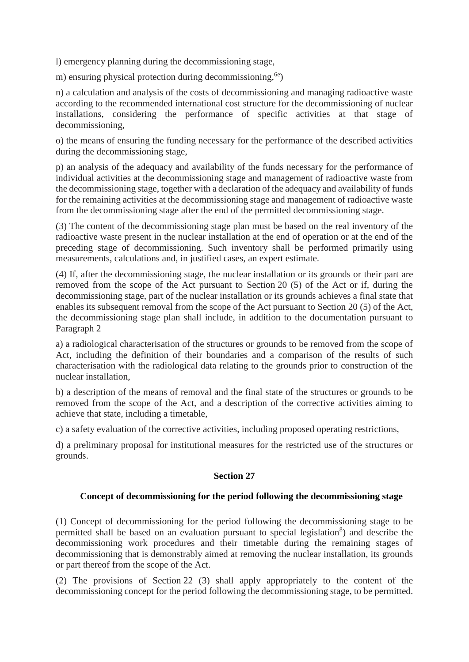l) emergency planning during the decommissioning stage,

m) ensuring physical protection during decommissioning,  $^{6e}$ )

n) a calculation and analysis of the costs of decommissioning and managing radioactive waste according to the recommended international cost structure for the decommissioning of nuclear installations, considering the performance of specific activities at that stage of decommissioning,

o) the means of ensuring the funding necessary for the performance of the described activities during the decommissioning stage,

p) an analysis of the adequacy and availability of the funds necessary for the performance of individual activities at the decommissioning stage and management of radioactive waste from the decommissioning stage, together with a declaration of the adequacy and availability of funds for the remaining activities at the decommissioning stage and management of radioactive waste from the decommissioning stage after the end of the permitted decommissioning stage.

(3) The content of the decommissioning stage plan must be based on the real inventory of the radioactive waste present in the nuclear installation at the end of operation or at the end of the preceding stage of decommissioning. Such inventory shall be performed primarily using measurements, calculations and, in justified cases, an expert estimate.

(4) If, after the decommissioning stage, the nuclear installation or its grounds or their part are removed from the scope of the Act pursuant to Section 20 (5) of the Act or if, during the decommissioning stage, part of the nuclear installation or its grounds achieves a final state that enables its subsequent removal from the scope of the Act pursuant to Section 20 (5) of the Act, the decommissioning stage plan shall include, in addition to the documentation pursuant to Paragraph 2

a) a radiological characterisation of the structures or grounds to be removed from the scope of Act, including the definition of their boundaries and a comparison of the results of such characterisation with the radiological data relating to the grounds prior to construction of the nuclear installation,

b) a description of the means of removal and the final state of the structures or grounds to be removed from the scope of the Act, and a description of the corrective activities aiming to achieve that state, including a timetable,

c) a safety evaluation of the corrective activities, including proposed operating restrictions,

d) a preliminary proposal for institutional measures for the restricted use of the structures or grounds.

# **Section 27**

### **Concept of decommissioning for the period following the decommissioning stage**

(1) Concept of decommissioning for the period following the decommissioning stage to be permitted shall be based on an evaluation pursuant to special legislation<sup>8</sup>) and describe the decommissioning work procedures and their timetable during the remaining stages of decommissioning that is demonstrably aimed at removing the nuclear installation, its grounds or part thereof from the scope of the Act.

(2) The provisions of Section 22 (3) shall apply appropriately to the content of the decommissioning concept for the period following the decommissioning stage, to be permitted.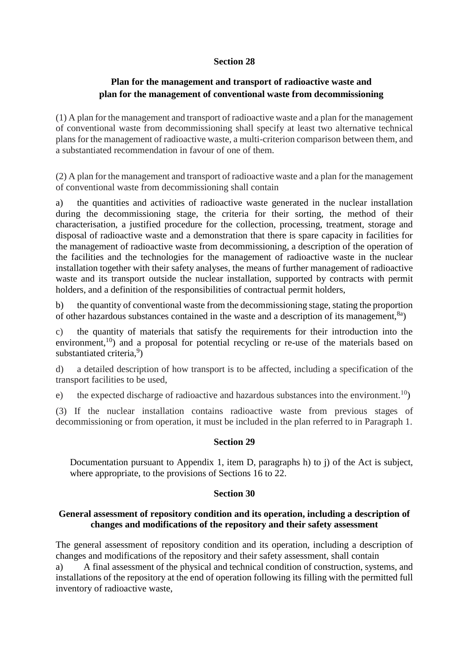## **Section 28**

# **Plan for the management and transport of radioactive waste and plan for the management of conventional waste from decommissioning**

(1) A plan for the management and transport of radioactive waste and a plan for the management of conventional waste from decommissioning shall specify at least two alternative technical plans for the management of radioactive waste, a multi-criterion comparison between them, and a substantiated recommendation in favour of one of them.

(2) A plan for the management and transport of radioactive waste and a plan for the management of conventional waste from decommissioning shall contain

a) the quantities and activities of radioactive waste generated in the nuclear installation during the decommissioning stage, the criteria for their sorting, the method of their characterisation, a justified procedure for the collection, processing, treatment, storage and disposal of radioactive waste and a demonstration that there is spare capacity in facilities for the management of radioactive waste from decommissioning, a description of the operation of the facilities and the technologies for the management of radioactive waste in the nuclear installation together with their safety analyses, the means of further management of radioactive waste and its transport outside the nuclear installation, supported by contracts with permit holders, and a definition of the responsibilities of contractual permit holders,

b) the quantity of conventional waste from the decommissioning stage, stating the proportion of other hazardous substances contained in the waste and a description of its management, $^{8a}$ )

c) the quantity of materials that satisfy the requirements for their introduction into the environment,<sup>10</sup>) and a proposal for potential recycling or re-use of the materials based on substantiated criteria, $9$ )

d) a detailed description of how transport is to be affected, including a specification of the transport facilities to be used,

e) the expected discharge of radioactive and hazardous substances into the environment.<sup>10</sup>)

(3) If the nuclear installation contains radioactive waste from previous stages of decommissioning or from operation, it must be included in the plan referred to in Paragraph 1.

### **Section 29**

Documentation pursuant to Appendix 1, item D, paragraphs h) to j) of the Act is subject, where appropriate, to the provisions of Sections 16 to 22.

### **Section 30**

### **General assessment of repository condition and its operation, including a description of changes and modifications of the repository and their safety assessment**

The general assessment of repository condition and its operation, including a description of changes and modifications of the repository and their safety assessment, shall contain

a) A final assessment of the physical and technical condition of construction, systems, and installations of the repository at the end of operation following its filling with the permitted full inventory of radioactive waste,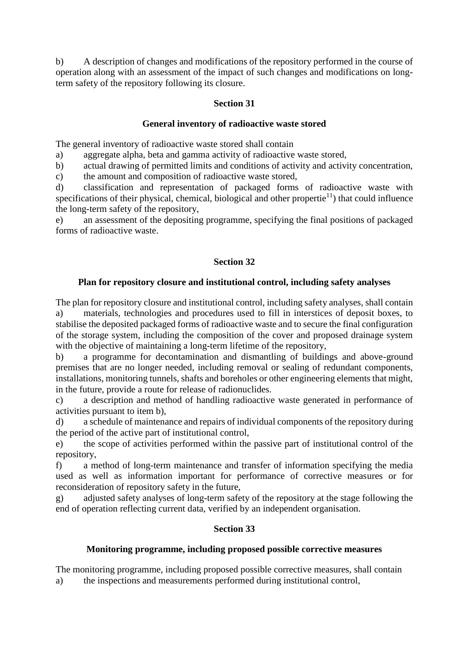b) A description of changes and modifications of the repository performed in the course of operation along with an assessment of the impact of such changes and modifications on longterm safety of the repository following its closure.

# **Section 31**

# **General inventory of radioactive waste stored**

The general inventory of radioactive waste stored shall contain

a) aggregate alpha, beta and gamma activity of radioactive waste stored,

b) actual drawing of permitted limits and conditions of activity and activity concentration,

c) the amount and composition of radioactive waste stored,

d) classification and representation of packaged forms of radioactive waste with specifications of their physical, chemical, biological and other propertie $11$ ) that could influence the long-term safety of the repository,

e) an assessment of the depositing programme, specifying the final positions of packaged forms of radioactive waste.

# **Section 32**

# **Plan for repository closure and institutional control, including safety analyses**

The plan for repository closure and institutional control, including safety analyses, shall contain a) materials, technologies and procedures used to fill in interstices of deposit boxes, to stabilise the deposited packaged forms of radioactive waste and to secure the final configuration of the storage system, including the composition of the cover and proposed drainage system with the objective of maintaining a long-term lifetime of the repository,

b) a programme for decontamination and dismantling of buildings and above-ground premises that are no longer needed, including removal or sealing of redundant components, installations, monitoring tunnels, shafts and boreholes or other engineering elements that might, in the future, provide a route for release of radionuclides.

c) a description and method of handling radioactive waste generated in performance of activities pursuant to item b),

d) a schedule of maintenance and repairs of individual components of the repository during the period of the active part of institutional control,

e) the scope of activities performed within the passive part of institutional control of the repository,

f) a method of long-term maintenance and transfer of information specifying the media used as well as information important for performance of corrective measures or for reconsideration of repository safety in the future,

g) adjusted safety analyses of long-term safety of the repository at the stage following the end of operation reflecting current data, verified by an independent organisation.

# **Section 33**

# **Monitoring programme, including proposed possible corrective measures**

The monitoring programme, including proposed possible corrective measures, shall contain a) the inspections and measurements performed during institutional control,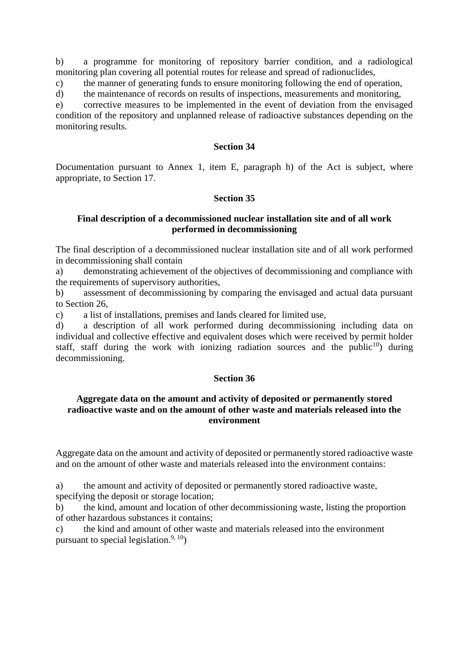b) a programme for monitoring of repository barrier condition, and a radiological monitoring plan covering all potential routes for release and spread of radionuclides,

c) the manner of generating funds to ensure monitoring following the end of operation,

d) the maintenance of records on results of inspections, measurements and monitoring,

e) corrective measures to be implemented in the event of deviation from the envisaged condition of the repository and unplanned release of radioactive substances depending on the monitoring results.

#### **Section 34**

Documentation pursuant to Annex 1, item E, paragraph h) of the Act is subject, where appropriate, to Section 17.

#### **Section 35**

### **Final description of a decommissioned nuclear installation site and of all work performed in decommissioning**

The final description of a decommissioned nuclear installation site and of all work performed in decommissioning shall contain

a) demonstrating achievement of the objectives of decommissioning and compliance with the requirements of supervisory authorities,

b) assessment of decommissioning by comparing the envisaged and actual data pursuant to Section 26,

c) a list of installations, premises and lands cleared for limited use,

d) a description of all work performed during decommissioning including data on individual and collective effective and equivalent doses which were received by permit holder staff, staff during the work with ionizing radiation sources and the public<sup>10</sup>) during decommissioning.

### **Section 36**

### **Aggregate data on the amount and activity of deposited or permanently stored radioactive waste and on the amount of other waste and materials released into the environment**

Aggregate data on the amount and activity of deposited or permanently stored radioactive waste and on the amount of other waste and materials released into the environment contains:

a) the amount and activity of deposited or permanently stored radioactive waste, specifying the deposit or storage location;

b) the kind, amount and location of other decommissioning waste, listing the proportion of other hazardous substances it contains;

c) the kind and amount of other waste and materials released into the environment pursuant to special legislation.<sup>9, 10</sup>)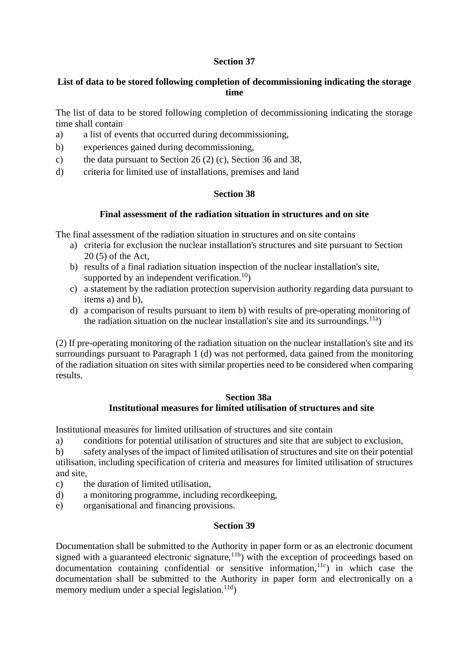## **Section 37**

## **List of data to be stored following completion of decommissioning indicating the storage time**

The list of data to be stored following completion of decommissioning indicating the storage time shall contain

- a) a list of events that occurred during decommissioning,
- b) experiences gained during decommissioning,
- c) the data pursuant to Section 26 (2) (c), Section 36 and 38,
- d) criteria for limited use of installations, premises and land

### **Section 38**

### **Final assessment of the radiation situation in structures and on site**

The final assessment of the radiation situation in structures and on site contains

- a) criteria for exclusion the nuclear installation's structures and site pursuant to Section 20 (5) of the Act,
- b) results of a final radiation situation inspection of the nuclear installation's site, supported by an independent verification.<sup>10</sup>)
- c) a statement by the radiation protection supervision authority regarding data pursuant to items a) and b),
- d) a comparison of results pursuant to item b) with results of pre-operating monitoring of the radiation situation on the nuclear installation's site and its surroundings.<sup>11a</sup>)

(2) If pre-operating monitoring of the radiation situation on the nuclear installation's site and its surroundings pursuant to Paragraph 1 (d) was not performed, data gained from the monitoring of the radiation situation on sites with similar properties need to be considered when comparing results.

### **Section 38a Institutional measures for limited utilisation of structures and site**

Institutional measures for limited utilisation of structures and site contain

a) conditions for potential utilisation of structures and site that are subject to exclusion,

b) safety analyses of the impact of limited utilisation of structures and site on their potential utilisation, including specification of criteria and measures for limited utilisation of structures and site,

- c) the duration of limited utilisation,
- d) a monitoring programme, including recordkeeping,
- e) organisational and financing provisions.

### **Section 39**

Documentation shall be submitted to the Authority in paper form or as an electronic document signed with a guaranteed electronic signature,<sup>11b</sup>) with the exception of proceedings based on documentation containing confidential or sensitive information,<sup>11c</sup>) in which case the documentation shall be submitted to the Authority in paper form and electronically on a memory medium under a special legislation.<sup>11d</sup>)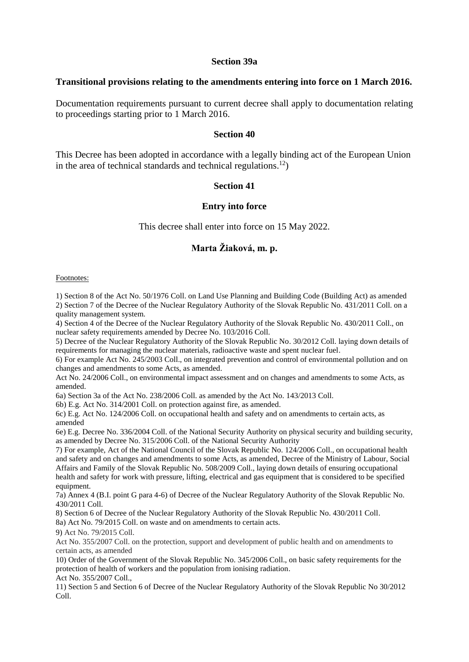#### **Section 39a**

#### **Transitional provisions relating to the amendments entering into force on 1 March 2016.**

Documentation requirements pursuant to current decree shall apply to documentation relating to proceedings starting prior to 1 March 2016.

#### **Section 40**

This Decree has been adopted in accordance with a legally binding act of the European Union in the area of technical standards and technical regulations.<sup>12</sup>)

#### **Section 41**

#### **Entry into force**

This decree shall enter into force on 15 May 2022.

## **Marta Žiaková, m. p.**

#### Footnotes:

1) Section 8 of the Act No. 50/1976 Coll. on Land Use Planning and Building Code (Building Act) as amended 2) Section 7 of the Decree of the Nuclear Regulatory Authority of the Slovak Republic No. 431/2011 Coll. on a quality management system.

4) Section 4 of the Decree of the Nuclear Regulatory Authority of the Slovak Republic No. 430/2011 Coll., on nuclear safety requirements amended by Decree No. 103/2016 Coll.

5) Decree of the Nuclear Regulatory Authority of the Slovak Republic No. 30/2012 Coll. laying down details of requirements for managing the nuclear materials, radioactive waste and spent nuclear fuel.

6) For example Act No. 245/2003 Coll., on integrated prevention and control of environmental pollution and on changes and amendments to some Acts, as amended.

Act No. 24/2006 Coll., on environmental impact assessment and on changes and amendments to some Acts, as amended.

6a) Section 3a of the Act No. 238/2006 Coll. as amended by the Act No. 143/2013 Coll.

6b) E.g. Act No. 314/2001 Coll. on protection against fire, as amended.

6c) E.g. Act No. 124/2006 Coll. on occupational health and safety and on amendments to certain acts, as amended

6e) E.g. Decree No. 336/2004 Coll. of the National Security Authority on physical security and building security, as amended by Decree No. 315/2006 Coll. of the National Security Authority

7) For example, Act of the National Council of the Slovak Republic No. 124/2006 Coll., on occupational health and safety and on changes and amendments to some Acts, as amended, Decree of the Ministry of Labour, Social Affairs and Family of the Slovak Republic No. 508/2009 Coll., laying down details of ensuring occupational health and safety for work with pressure, lifting, electrical and gas equipment that is considered to be specified equipment.

7a) Annex 4 (B.I. point G para 4-6) of Decree of the Nuclear Regulatory Authority of the Slovak Republic No. 430/2011 Coll.

8) Section 6 of Decree of the Nuclear Regulatory Authority of the Slovak Republic No. 430/2011 Coll.

8a) Act No. 79/2015 Coll. on waste and on amendments to certain acts.

9) Act No. 79/2015 Coll.

Act No. 355/2007 Coll. on the protection, support and development of public health and on amendments to certain acts, as amended

10) Order of the Government of the Slovak Republic No. 345/2006 Coll., on basic safety requirements for the protection of health of workers and the population from ionising radiation.

Act No. 355/2007 Coll.,

11) Section 5 and Section 6 of Decree of the Nuclear Regulatory Authority of the Slovak Republic No 30/2012 Coll.